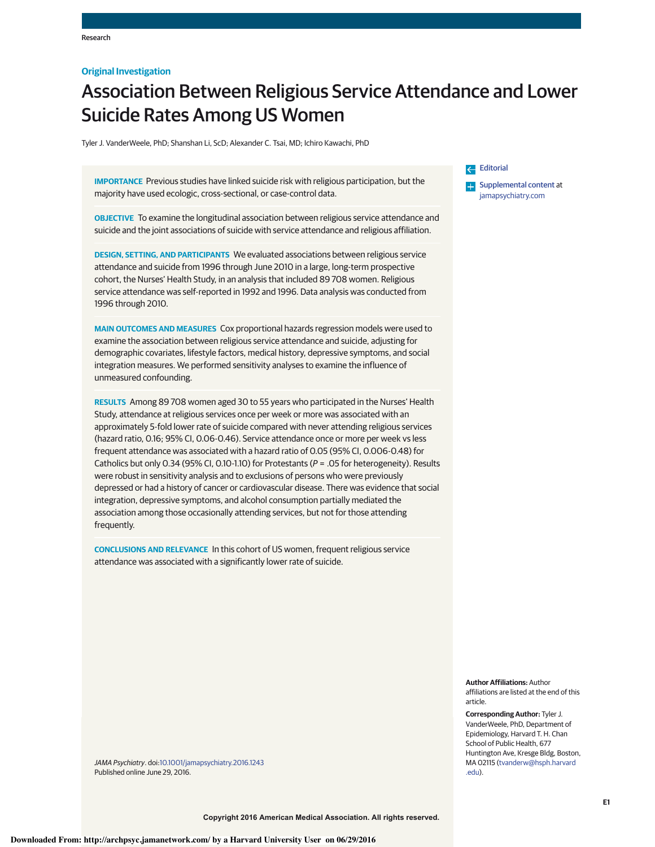# **Original Investigation**

# Association Between Religious Service Attendance and Lower Suicide Rates Among US Women

Tyler J. VanderWeele, PhD; Shanshan Li, ScD; Alexander C. Tsai, MD; Ichiro Kawachi, PhD

**IMPORTANCE** Previous studies have linked suicide risk with religious participation, but the majority have used ecologic, cross-sectional, or case-control data.

**OBJECTIVE** To examine the longitudinal association between religious service attendance and suicide and the joint associations of suicide with service attendance and religious affiliation.

**DESIGN, SETTING, AND PARTICIPANTS** We evaluated associations between religious service attendance and suicide from 1996 through June 2010 in a large, long-term prospective cohort, the Nurses' Health Study, in an analysis that included 89 708 women. Religious service attendance was self-reported in 1992 and 1996. Data analysis was conducted from 1996 through 2010.

**MAIN OUTCOMES AND MEASURES** Cox proportional hazards regression models were used to examine the association between religious service attendance and suicide, adjusting for demographic covariates, lifestyle factors, medical history, depressive symptoms, and social integration measures. We performed sensitivity analyses to examine the influence of unmeasured confounding.

**RESULTS** Among 89 708 women aged 30 to 55 years who participated in the Nurses' Health Study, attendance at religious services once per week or more was associated with an approximately 5-fold lower rate of suicide compared with never attending religious services (hazard ratio, 0.16; 95% CI, 0.06-0.46). Service attendance once or more per week vs less frequent attendance was associated with a hazard ratio of 0.05 (95% CI, 0.006-0.48) for Catholics but only 0.34 (95% CI, 0.10-1.10) for Protestants (*P* = .05 for heterogeneity). Results were robust in sensitivity analysis and to exclusions of persons who were previously depressed or had a history of cancer or cardiovascular disease. There was evidence that social integration, depressive symptoms, and alcohol consumption partially mediated the association among those occasionally attending services, but not for those attending frequently.

**CONCLUSIONS AND RELEVANCE** In this cohort of US women, frequent religious service attendance was associated with a significantly lower rate of suicide.

Editorial

**Examplemental content at** jamapsychiatry.com

**Author Affiliations:** Author affiliations are listed at the end of this article.

**Corresponding Author:** Tyler J. VanderWeele, PhD, Department of Epidemiology, Harvard T. H. Chan School of Public Health, 677 Huntington Ave, Kresge Bldg, Boston, MA 02115 (tvanderw@hsph.harvard .edu).

*JAMA Psychiatry*. doi:10.1001/jamapsychiatry.2016.1243 Published online June 29, 2016.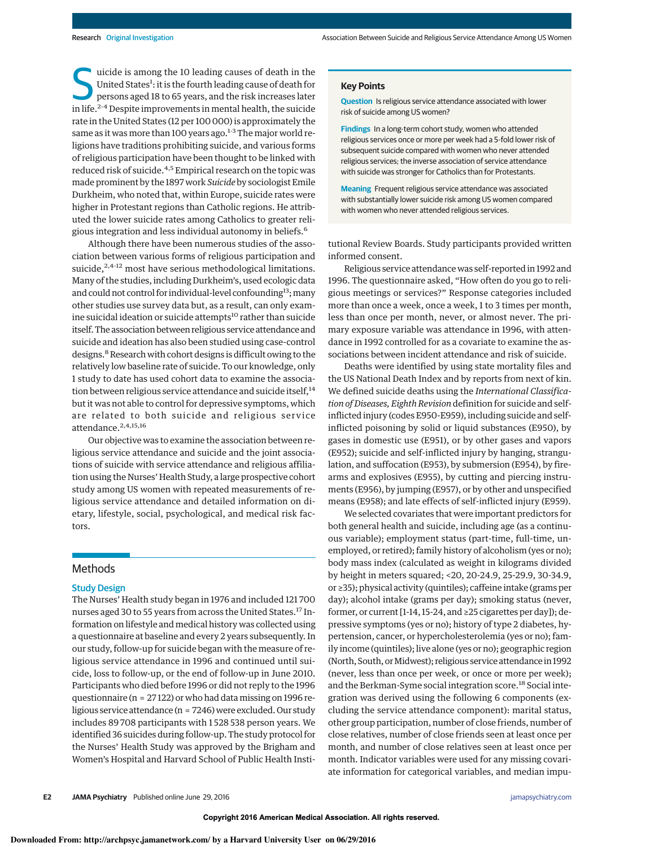S uicide is among the 10 leading causes of death in the<br>United States<sup>1</sup>: it is the fourth leading cause of death for<br>persons aged 18 to 65 years, and the risk increases later<br>in the risk increases later United States<sup>1</sup>: it is the fourth leading cause of death for in life.<sup>2-4</sup> Despite improvements in mental health, the suicide rate in the United States (12 per 100 000) is approximately the same as it was more than 100 years ago. $1-3$  The major world religions have traditions prohibiting suicide, and various forms of religious participation have been thought to be linked with reduced risk of suicide.<sup>4,5</sup> Empirical research on the topic was made prominent by the 1897 work *Suicide* by sociologist Emile Durkheim, who noted that, within Europe, suicide rates were higher in Protestant regions than Catholic regions. He attributed the lower suicide rates among Catholics to greater religious integration and less individual autonomy in beliefs.<sup>6</sup>

Although there have been numerous studies of the association between various forms of religious participation and suicide, $2,4-12$  most have serious methodological limitations. Many of the studies, including Durkheim's, used ecologic data and could not control for individual-level confounding<sup>13</sup>; many other studies use survey data but, as a result, can only examine suicidal ideation or suicide attempts<sup>10</sup> rather than suicide itself. The association between religious service attendance and suicide and ideation has also been studied using case-control designs.<sup>8</sup> Research with cohort designs is difficult owing to the relatively low baseline rate of suicide. To our knowledge, only 1 study to date has used cohort data to examine the association between religious service attendance and suicide itself,<sup>14</sup> but it was not able to control for depressive symptoms, which are related to both suicide and religious service attendance.<sup>2,4,15,16</sup>

Our objective was to examine the association between religious service attendance and suicide and the joint associations of suicide with service attendance and religious affiliation using the Nurses' Health Study, a large prospective cohort study among US women with repeated measurements of religious service attendance and detailed information on dietary, lifestyle, social, psychological, and medical risk factors.

## Methods

## Study Design

The Nurses' Health study began in 1976 and included 121 700 nurses aged 30 to 55 years from across the United States.<sup>17</sup> Information on lifestyle and medical history was collected using a questionnaire at baseline and every 2 years subsequently. In our study, follow-up for suicide began with the measure of religious service attendance in 1996 and continued until suicide, loss to follow-up, or the end of follow-up in June 2010. Participants who died before 1996 or did not reply to the 1996 questionnaire (n = 27 122) or who had data missing on 1996 religious service attendance (n = 7246) were excluded. Our study includes 89 708 participants with 1 528 538 person years. We identified 36 suicides during follow-up. The study protocol for the Nurses' Health Study was approved by the Brigham and Women's Hospital and Harvard School of Public Health Insti-

### **Key Points**

**Question** Is religious service attendance associated with lower risk of suicide among US women?

**Findings** In a long-term cohort study, women who attended religious services once or more per week had a 5-fold lower risk of subsequent suicide compared with women who never attended religious services; the inverse association of service attendance with suicide was stronger for Catholics than for Protestants.

**Meaning** Frequent religious service attendance was associated with substantially lower suicide risk among US women compared with women who never attended religious services.

tutional Review Boards. Study participants provided written informed consent.

Religious service attendance was self-reported in1992 and 1996. The questionnaire asked, "How often do you go to religious meetings or services?" Response categories included more than once a week, once a week, 1 to 3 times per month, less than once per month, never, or almost never. The primary exposure variable was attendance in 1996, with attendance in 1992 controlled for as a covariate to examine the associations between incident attendance and risk of suicide.

Deaths were identified by using state mortality files and the US National Death Index and by reports from next of kin. We defined suicide deaths using the *International Classification of Diseases, Eighth Revision* definition for suicide and selfinflicted injury (codes E950-E959), including suicide and selfinflicted poisoning by solid or liquid substances (E950), by gases in domestic use (E951), or by other gases and vapors (E952); suicide and self-inflicted injury by hanging, strangulation, and suffocation (E953), by submersion (E954), by firearms and explosives (E955), by cutting and piercing instruments (E956), by jumping (E957), or by other and unspecified means (E958); and late effects of self-inflicted injury (E959).

We selected covariates that were important predictors for both general health and suicide, including age (as a continuous variable); employment status (part-time, full-time, unemployed, or retired); family history of alcoholism (yes or no); body mass index (calculated as weight in kilograms divided by height in meters squared; <20, 20-24.9, 25-29.9, 30-34.9, or ≥35); physical activity (quintiles); caffeine intake (grams per day); alcohol intake (grams per day); smoking status (never, former, or current [1-14, 15-24, and≥25 cigarettes per day]); depressive symptoms (yes or no); history of type 2 diabetes, hypertension, cancer, or hypercholesterolemia (yes or no); family income (quintiles); live alone (yes or no); geographic region (North, South, or Midwest); religious service attendance in 1992 (never, less than once per week, or once or more per week); and the Berkman-Syme social integration score.<sup>18</sup> Social integration was derived using the following 6 components (excluding the service attendance component): marital status, other group participation, number of close friends, number of close relatives, number of close friends seen at least once per month, and number of close relatives seen at least once per month. Indicator variables were used for any missing covariate information for categorical variables, and median impu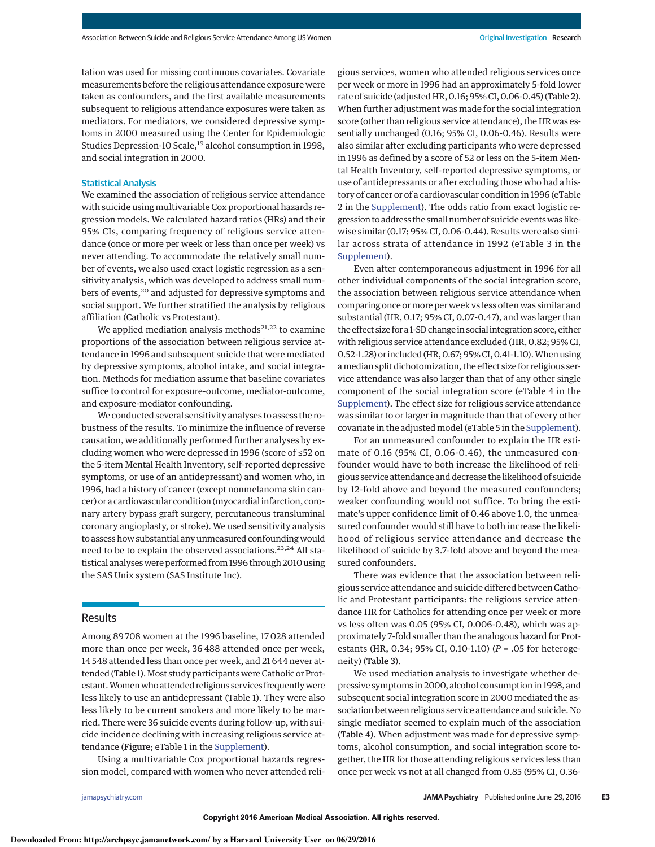tation was used for missing continuous covariates. Covariate measurements before the religious attendance exposure were taken as confounders, and the first available measurements subsequent to religious attendance exposures were taken as mediators. For mediators, we considered depressive symptoms in 2000 measured using the Center for Epidemiologic Studies Depression-10 Scale,<sup>19</sup> alcohol consumption in 1998, and social integration in 2000.

## Statistical Analysis

We examined the association of religious service attendance with suicide using multivariable Cox proportional hazards regression models. We calculated hazard ratios (HRs) and their 95% CIs, comparing frequency of religious service attendance (once or more per week or less than once per week) vs never attending. To accommodate the relatively small number of events, we also used exact logistic regression as a sensitivity analysis, which was developed to address small numbers of events,<sup>20</sup> and adjusted for depressive symptoms and social support. We further stratified the analysis by religious affiliation (Catholic vs Protestant).

We applied mediation analysis methods<sup>21,22</sup> to examine proportions of the association between religious service attendance in 1996 and subsequent suicide that were mediated by depressive symptoms, alcohol intake, and social integration. Methods for mediation assume that baseline covariates suffice to control for exposure-outcome, mediator-outcome, and exposure-mediator confounding.

We conducted several sensitivity analyses to assess the robustness of the results. To minimize the influence of reverse causation, we additionally performed further analyses by excluding women who were depressed in 1996 (score of ≤52 on the 5-item Mental Health Inventory, self-reported depressive symptoms, or use of an antidepressant) and women who, in 1996, had a history of cancer (except nonmelanoma skin cancer) or a cardiovascular condition (myocardial infarction, coronary artery bypass graft surgery, percutaneous transluminal coronary angioplasty, or stroke). We used sensitivity analysis to assess how substantial any unmeasured confounding would need to be to explain the observed associations.<sup>23,24</sup> All statistical analyses were performed from 1996 through 2010 using the SAS Unix system (SAS Institute Inc).

# Results

Among 89 708 women at the 1996 baseline, 17 028 attended more than once per week, 36 488 attended once per week, 14 548 attended less than once per week, and 21 644 never attended (Table 1). Most study participants were Catholic or Protestant. Women who attended religious services frequently were less likely to use an antidepressant (Table 1). They were also less likely to be current smokers and more likely to be married. There were 36 suicide events during follow-up, with suicide incidence declining with increasing religious service attendance (Figure; eTable 1 in the Supplement).

Using a multivariable Cox proportional hazards regression model, compared with women who never attended religious services, women who attended religious services once per week or more in 1996 had an approximately 5-fold lower rate of suicide (adjusted HR,0.16;95% CI,0.06-0.45) (Table 2). When further adjustment was made for the social integration score (other than religious service attendance), the HR was essentially unchanged (0.16; 95% CI, 0.06-0.46). Results were also similar after excluding participants who were depressed in 1996 as defined by a score of 52 or less on the 5-item Mental Health Inventory, self-reported depressive symptoms, or use of antidepressants or after excluding those who had a history of cancer or of a cardiovascular condition in 1996 (eTable 2 in the Supplement). The odds ratio from exact logistic regression to address the small number of suicide eventswas likewise similar (0.17; 95% CI, 0.06-0.44). Results were also similar across strata of attendance in 1992 (eTable 3 in the Supplement).

Even after contemporaneous adjustment in 1996 for all other individual components of the social integration score, the association between religious service attendance when comparing once or more per week vs less often was similar and substantial (HR, 0.17; 95% CI, 0.07-0.47), and was larger than the effect size for a 1-SD change in social integration score, either with religious service attendance excluded (HR, 0.82; 95% CI, 0.52-1.28) or included (HR, 0.67; 95% CI, 0.41-1.10). When using amedian split dichotomization, the effect size for religious service attendance was also larger than that of any other single component of the social integration score (eTable 4 in the Supplement). The effect size for religious service attendance was similar to or larger in magnitude than that of every other covariate in the adjusted model (eTable 5 in the Supplement).

For an unmeasured confounder to explain the HR estimate of 0.16 (95% CI, 0.06-0.46), the unmeasured confounder would have to both increase the likelihood of religious service attendance and decrease the likelihood of suicide by 12-fold above and beyond the measured confounders; weaker confounding would not suffice. To bring the estimate's upper confidence limit of 0.46 above 1.0, the unmeasured confounder would still have to both increase the likelihood of religious service attendance and decrease the likelihood of suicide by 3.7-fold above and beyond the measured confounders.

There was evidence that the association between religious service attendance and suicide differed between Catholic and Protestant participants: the religious service attendance HR for Catholics for attending once per week or more vs less often was 0.05 (95% CI, 0.006-0.48), which was approximately 7-fold smaller than the analogous hazard for Protestants (HR, 0.34; 95% CI, 0.10-1.10) (*P* = .05 for heterogeneity) (Table 3).

We used mediation analysis to investigate whether depressive symptoms in2000, alcohol consumption in1998, and subsequent social integration score in 2000 mediated the association between religious service attendance and suicide. No single mediator seemed to explain much of the association (Table 4). When adjustment was made for depressive symptoms, alcohol consumption, and social integration score together, the HR for those attending religious services less than once per week vs not at all changed from 0.85 (95% CI, 0.36-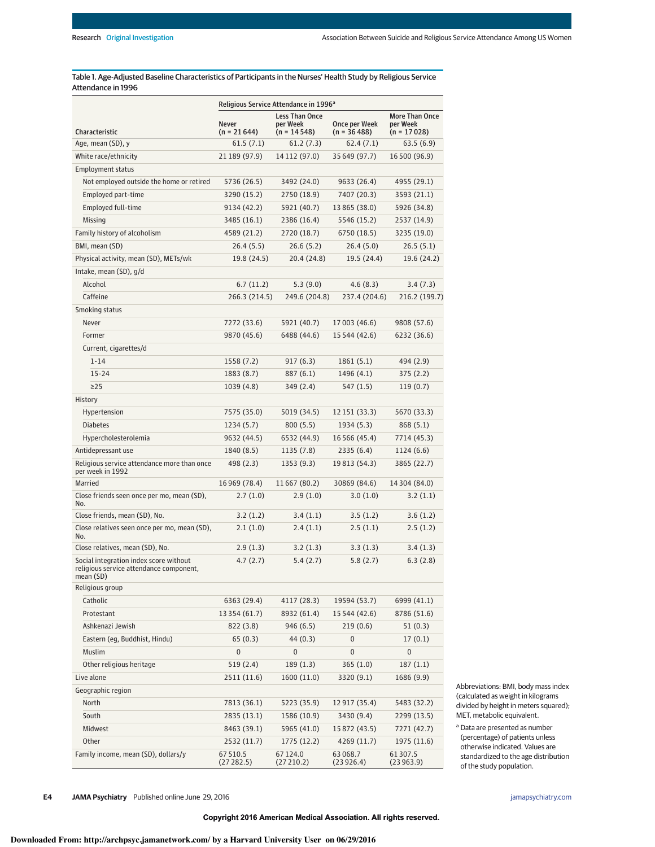Table 1. Age-Adjusted Baseline Characteristics of Participants in the Nurses' Health Study by Religious Service Attendance in 1996

|                                                                                                | Religious Service Attendance in 1996 <sup>a</sup> |                                                    |                               |                                             |
|------------------------------------------------------------------------------------------------|---------------------------------------------------|----------------------------------------------------|-------------------------------|---------------------------------------------|
| Characteristic                                                                                 | <b>Never</b><br>$(n = 21644)$                     | <b>Less Than Once</b><br>per Week<br>$(n = 14548)$ | Once per Week<br>(n = 36 488) | More Than Once<br>per Week<br>$(n = 17028)$ |
| Age, mean (SD), y                                                                              | 61.5(7.1)                                         | 61.2(7.3)                                          | 62.4(7.1)                     | 63.5(6.9)                                   |
| White race/ethnicity                                                                           | 21 189 (97.9)                                     | 14 112 (97.0)                                      | 35 649 (97.7)                 | 16 500 (96.9)                               |
| <b>Employment status</b>                                                                       |                                                   |                                                    |                               |                                             |
| Not employed outside the home or retired                                                       | 5736 (26.5)                                       | 3492 (24.0)                                        | 9633 (26.4)                   | 4955 (29.1)                                 |
| Employed part-time                                                                             | 3290 (15.2)                                       | 2750 (18.9)                                        | 7407 (20.3)                   | 3593 (21.1)                                 |
| Employed full-time                                                                             | 9134 (42.2)                                       | 5921 (40.7)                                        | 13 865 (38.0)                 | 5926 (34.8)                                 |
| Missing                                                                                        | 3485 (16.1)                                       | 2386 (16.4)                                        | 5546 (15.2)                   | 2537 (14.9)                                 |
| Family history of alcoholism                                                                   | 4589 (21.2)                                       | 2720 (18.7)                                        | 6750 (18.5)                   | 3235 (19.0)                                 |
| BMI, mean (SD)                                                                                 | 26.4(5.5)                                         | 26.6(5.2)                                          | 26.4(5.0)                     | 26.5(5.1)                                   |
| Physical activity, mean (SD), METs/wk                                                          | 19.8 (24.5)                                       | 20.4 (24.8)                                        | 19.5 (24.4)                   | 19.6 (24.2)                                 |
| Intake, mean (SD), g/d                                                                         |                                                   |                                                    |                               |                                             |
| Alcohol                                                                                        | 6.7(11.2)                                         | 5.3(9.0)                                           | 4.6(8.3)                      | 3.4(7.3)                                    |
| Caffeine                                                                                       | 266.3 (214.5)                                     | 249.6 (204.8)                                      | 237.4 (204.6)                 | 216.2 (199.7)                               |
| Smoking status                                                                                 |                                                   |                                                    |                               |                                             |
| Never                                                                                          | 7272 (33.6)                                       | 5921 (40.7)                                        | 17 003 (46.6)                 | 9808 (57.6)                                 |
| Former                                                                                         | 9870 (45.6)                                       | 6488 (44.6)                                        | 15 544 (42.6)                 | 6232 (36.6)                                 |
| Current, cigarettes/d                                                                          |                                                   |                                                    |                               |                                             |
| $1 - 14$                                                                                       | 1558 (7.2)                                        | 917 (6.3)                                          | 1861 (5.1)                    | 494 (2.9)                                   |
| $15 - 24$                                                                                      | 1883 (8.7)                                        | 887 (6.1)                                          | 1496 (4.1)                    | 375 (2.2)                                   |
| $\geq$ 25                                                                                      | 1039 (4.8)                                        | 349 (2.4)                                          | 547 (1.5)                     | 119(0.7)                                    |
| History                                                                                        |                                                   |                                                    |                               |                                             |
| Hypertension                                                                                   | 7575 (35.0)                                       | 5019 (34.5)                                        | 12 151 (33.3)                 | 5670 (33.3)                                 |
| <b>Diabetes</b>                                                                                | 1234 (5.7)                                        | 800 (5.5)                                          | 1934 (5.3)                    | 868 (5.1)                                   |
| Hypercholesterolemia                                                                           | 9632 (44.5)                                       | 6532 (44.9)                                        | 16 5 6 (45.4)                 | 7714 (45.3)                                 |
| Antidepressant use                                                                             | 1840 (8.5)                                        | 1135 (7.8)                                         | 2335 (6.4)                    | 1124 (6.6)                                  |
| Religious service attendance more than once<br>per week in 1992                                | 498 (2.3)                                         | 1353 (9.3)                                         | 19813 (54.3)                  | 3865 (22.7)                                 |
| Married                                                                                        | 16 969 (78.4)                                     | 11667 (80.2)                                       | 30869 (84.6)                  | 14 304 (84.0)                               |
| Close friends seen once per mo, mean (SD),<br>No.                                              | 2.7(1.0)                                          | 2.9(1.0)                                           | 3.0(1.0)                      | 3.2(1.1)                                    |
| Close friends, mean (SD), No.                                                                  | 3.2(1.2)                                          | 3.4(1.1)                                           | 3.5(1.2)                      | 3.6(1.2)                                    |
| Close relatives seen once per mo, mean (SD),<br>No.                                            | 2.1(1.0)                                          | 2.4(1.1)                                           | 2.5(1.1)                      | 2.5(1.2)                                    |
| Close relatives, mean (SD), No.                                                                | 2.9(1.3)                                          | 3.2(1.3)                                           | 3.3(1.3)                      | 3.4(1.3)                                    |
| Social integration index score without<br>religious service attendance component,<br>mean (SD) | 4.7(2.7)                                          | 5.4(2.7)                                           | 5.8(2.7)                      | 6.3(2.8)                                    |
| Religious group                                                                                |                                                   |                                                    |                               |                                             |
| Catholic                                                                                       | 6363 (29.4)                                       | 4117 (28.3)                                        | 19594 (53.7)                  | 6999 (41.1)                                 |
| Protestant                                                                                     | 13 354 (61.7)                                     | 8932 (61.4)                                        | 15 544 (42.6)                 | 8786 (51.6)                                 |
| Ashkenazi Jewish                                                                               | 822 (3.8)                                         | 946 (6.5)                                          | 219(0.6)                      | 51(0.3)                                     |
| Eastern (eg, Buddhist, Hindu)                                                                  | 65(0.3)                                           | 44 (0.3)                                           | 0                             | 17(0.1)                                     |
| Muslim                                                                                         | $\mathbf{0}$                                      | $\pmb{0}$                                          | 0                             | 0                                           |
| Other religious heritage                                                                       | 519(2.4)                                          | 189 (1.3)                                          | 365 (1.0)                     | 187(1.1)                                    |
| Live alone                                                                                     | 2511 (11.6)                                       | 1600 (11.0)                                        | 3320 (9.1)                    | 1686 (9.9)                                  |
| Geographic region                                                                              |                                                   |                                                    |                               |                                             |
| North                                                                                          | 7813 (36.1)                                       | 5223 (35.9)                                        | 12917 (35.4)                  | 5483 (32.2)                                 |
| South                                                                                          | 2835 (13.1)                                       | 1586 (10.9)                                        | 3430 (9.4)                    | 2299 (13.5)                                 |
| Midwest                                                                                        | 8463 (39.1)                                       | 5965 (41.0)                                        | 15 872 (43.5)                 | 7271 (42.7)                                 |
| Other                                                                                          | 2532 (11.7)                                       | 1775 (12.2)                                        | 4269 (11.7)                   | 1975 (11.6)                                 |
| Family income, mean (SD), dollars/y                                                            | 67 510.5<br>(27282.5)                             | 67124.0<br>(27210.2)                               | 63068.7<br>(23926.4)          | 61 307.5<br>(23963.9)                       |

Abbreviations: BMI, body mass index (calculated as weight in kilograms divided by height in meters squared); MET, metabolic equivalent.

<sup>a</sup> Data are presented as number (percentage) of patients unless otherwise indicated. Values are standardized to the age distribution of the study population.

**E4 JAMA Psychiatry** Published online June 29, 2016 **(Reprinted)** jamapsychiatry.com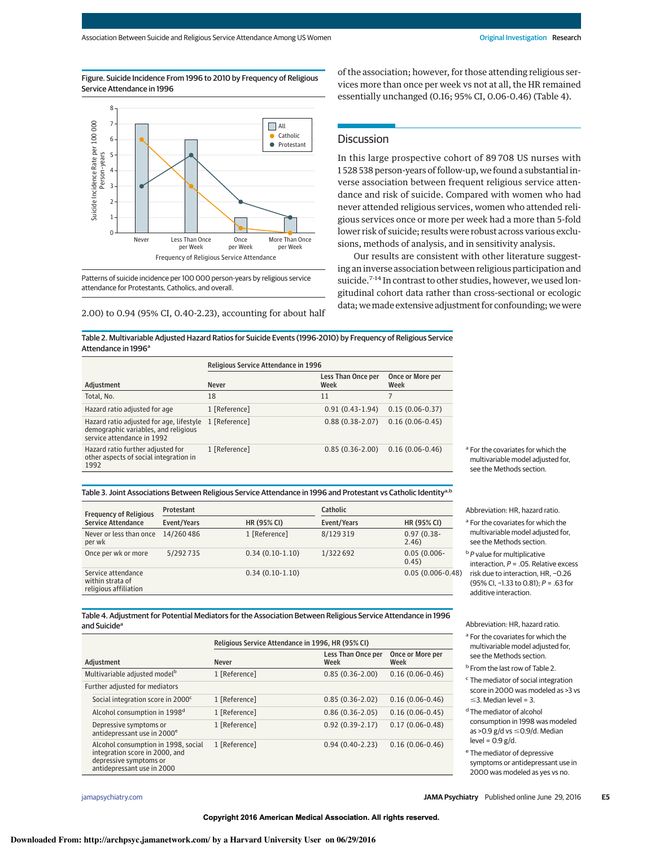Figure. Suicide Incidence From 1996 to 2010 by Frequency of Religious Service Attendance in 1996



Patterns of suicide incidence per 100 000 person-years by religious service attendance for Protestants, Catholics, and overall.

2.00) to 0.94 (95% CI, 0.40-2.23), accounting for about half

of the association; however, for those attending religious services more than once per week vs not at all, the HR remained essentially unchanged (0.16; 95% CI, 0.06-0.46) (Table 4).

## **Discussion**

In this large prospective cohort of 89 708 US nurses with 1 528 538 person-years of follow-up, we found a substantial inverse association between frequent religious service attendance and risk of suicide. Compared with women who had never attended religious services, women who attended religious services once or more per week had a more than 5-fold lower risk of suicide; results were robust across various exclusions, methods of analysis, and in sensitivity analysis.

Our results are consistent with other literature suggesting an inverse association between religious participation and suicide.<sup>7-14</sup> In contrast to other studies, however, we used longitudinal cohort data rather than cross-sectional or ecologic data; wemade extensive adjustment for confounding; we were

Table 2. Multivariable Adjusted Hazard Ratios for Suicide Events (1996-2010) by Frequency of Religious Service Attendance in 1996<sup>a</sup>

|                                                                                                                | Religious Service Attendance in 1996 |                            |                          |  |
|----------------------------------------------------------------------------------------------------------------|--------------------------------------|----------------------------|--------------------------|--|
| Adjustment                                                                                                     | <b>Never</b>                         | Less Than Once per<br>Week | Once or More per<br>Week |  |
| Total, No.                                                                                                     | 18                                   | 11                         |                          |  |
| Hazard ratio adjusted for age                                                                                  | 1 [Reference]                        | $0.91(0.43-1.94)$          | $0.15(0.06-0.37)$        |  |
| Hazard ratio adjusted for age, lifestyle<br>demographic variables, and religious<br>service attendance in 1992 | 1 [Reference]                        | $0.88(0.38-2.07)$          | $0.16(0.06-0.45)$        |  |
| Hazard ratio further adjusted for<br>other aspects of social integration in<br>1992                            | 1 [Reference]                        | $0.85(0.36-2.00)$          | $0.16(0.06-0.46)$        |  |

<sup>a</sup> For the covariates for which the multivariable model adjusted for, see the Methods section.

### Table 3. Joint Associations Between Religious Service Attendance in 1996 and Protestant vs Catholic Identity<sup>a,b</sup>

| <b>Frequency of Religious</b><br><b>Service Attendance</b>      | Protestant  |                   | Catholic    |                         |
|-----------------------------------------------------------------|-------------|-------------------|-------------|-------------------------|
|                                                                 | Event/Years | HR (95% CI)       | Event/Years | HR (95% CI)             |
| Never or less than once<br>per wk                               | 14/260486   | 1 [Reference]     | 8/129 319   | $0.97(0.38 -$<br>2.46)  |
| Once per wk or more                                             | 5/292735    | $0.34(0.10-1.10)$ | 1/322 692   | $0.05(0.006 -$<br>0.45) |
| Service attendance<br>within strata of<br>religious affiliation |             | $0.34(0.10-1.10)$ |             | $0.05(0.006-0.48)$      |

Abbreviation: HR, hazard ratio.

<sup>a</sup> For the covariates for which the multivariable model adjusted for, see the Methods section.

<sup>b</sup> *P* value for multiplicative interaction, *P* = .05. Relative excess risk due to interaction, HR, −0.26 (95% CI, −1.33 to 0.81); *P* = .63 for additive interaction.

Abbreviation: HR, hazard ratio. <sup>a</sup> For the covariates for which the multivariable model adjusted for, see the Methods section. <sup>b</sup> From the last row of Table 2. <sup>c</sup> The mediator of social integration score in 2000 was modeled as >3 vs

 $\leq$ 3. Median level = 3. <sup>d</sup> The mediator of alcohol

 $level = 0.9 g/d.$ <sup>e</sup> The mediator of depressive symptoms or antidepressant use in 2000 was modeled as yes vs no.

Table 4. Adjustment for Potential Mediators for the Association Between Religious Service Attendance in 1996 and Suicide<sup>a</sup>

|                                                                                                                               | Religious Service Attendance in 1996, HR (95% CI) |                            |                          |
|-------------------------------------------------------------------------------------------------------------------------------|---------------------------------------------------|----------------------------|--------------------------|
| Adiustment                                                                                                                    | <b>Never</b>                                      | Less Than Once per<br>Week | Once or More per<br>Week |
| Multivariable adjusted model <sup>b</sup>                                                                                     | 1 [Reference]                                     | $0.85(0.36-2.00)$          | $0.16(0.06-0.46)$        |
| Further adjusted for mediators                                                                                                |                                                   |                            |                          |
| Social integration score in 2000 <sup>c</sup>                                                                                 | 1 [Reference]                                     | $0.85(0.36-2.02)$          | $0.16(0.06-0.46)$        |
| Alcohol consumption in 1998 <sup>d</sup>                                                                                      | 1 [Reference]                                     | $0.86(0.36-2.05)$          | $0.16(0.06-0.45)$        |
| Depressive symptoms or<br>antidepressant use in 2000 <sup>e</sup>                                                             | 1 [Reference]                                     | $0.92(0.39-2.17)$          | $0.17(0.06-0.48)$        |
| Alcohol consumption in 1998, social<br>integration score in 2000, and<br>depressive symptoms or<br>antidepressant use in 2000 | 1 [Reference]                                     | $0.94(0.40-2.23)$          | $0.16(0.06-0.46)$        |

consumption in 1998 was modeled as >0.9  $g/d$  vs  $\leq$ 0.9/d. Median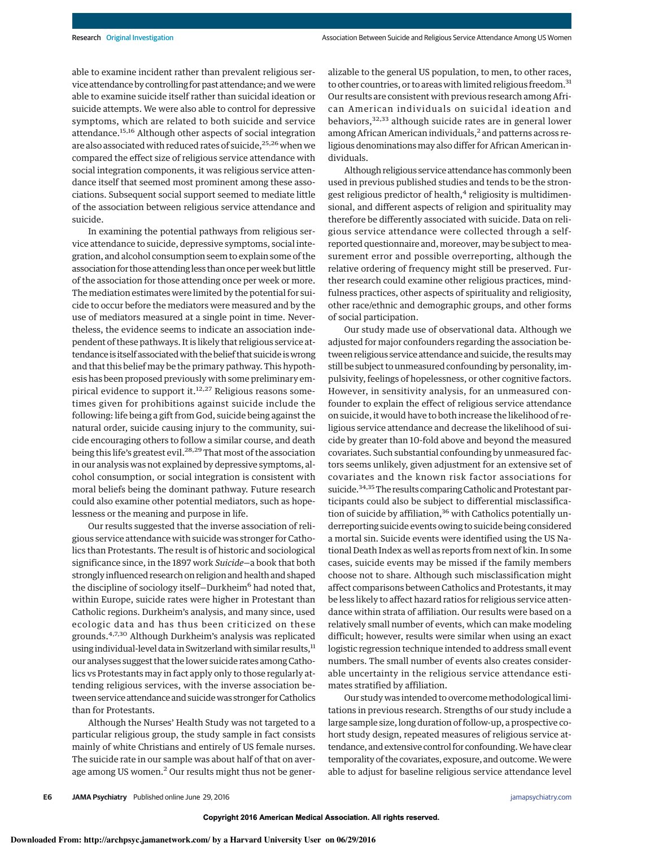able to examine incident rather than prevalent religious service attendance by controlling for past attendance; andwewere able to examine suicide itself rather than suicidal ideation or suicide attempts. We were also able to control for depressive symptoms, which are related to both suicide and service attendance.<sup>15,16</sup> Although other aspects of social integration are also associated with reduced rates of suicide,<sup>25,26</sup> when we compared the effect size of religious service attendance with social integration components, it was religious service attendance itself that seemed most prominent among these associations. Subsequent social support seemed to mediate little of the association between religious service attendance and suicide.

In examining the potential pathways from religious service attendance to suicide, depressive symptoms, social integration, and alcohol consumption seem to explain some of the association for those attending less than once perweek but little of the association for those attending once per week or more. The mediation estimates were limited by the potential for suicide to occur before the mediators were measured and by the use of mediators measured at a single point in time. Nevertheless, the evidence seems to indicate an association independent of these pathways. It is likely that religious service attendance is itself associated with the belief that suicide is wrong and that this belief may be the primary pathway. This hypothesis has been proposed previously with some preliminary empirical evidence to support it. $12,27$  Religious reasons sometimes given for prohibitions against suicide include the following: life being a gift from God, suicide being against the natural order, suicide causing injury to the community, suicide encouraging others to follow a similar course, and death being this life's greatest evil.<sup>28,29</sup> That most of the association in our analysis was not explained by depressive symptoms, alcohol consumption, or social integration is consistent with moral beliefs being the dominant pathway. Future research could also examine other potential mediators, such as hopelessness or the meaning and purpose in life.

Our results suggested that the inverse association of religious service attendance with suicide was stronger for Catholics than Protestants. The result is of historic and sociological significance since, in the 1897 work *Suicide*—a book that both strongly influenced research on religion and health and shaped the discipline of sociology itself-Durkheim<sup>6</sup> had noted that, within Europe, suicide rates were higher in Protestant than Catholic regions. Durkheim's analysis, and many since, used ecologic data and has thus been criticized on these grounds.4,7,<sup>30</sup> Although Durkheim's analysis was replicated using individual-level data in Switzerland with similar results,<sup>11</sup> our analyses suggest that the lower suicide rates among Catholics vs Protestants may in fact apply only to those regularly attending religious services, with the inverse association between service attendance and suicide was stronger for Catholics than for Protestants.

Although the Nurses' Health Study was not targeted to a particular religious group, the study sample in fact consists mainly of white Christians and entirely of US female nurses. The suicide rate in our sample was about half of that on average among US women.<sup>2</sup> Our results might thus not be generalizable to the general US population, to men, to other races, to other countries, or to areas with limited religious freedom.<sup>31</sup> Our results are consistent with previous research among African American individuals on suicidal ideation and behaviors,32,<sup>33</sup> although suicide rates are in general lower among African American individuals,<sup>2</sup> and patterns across religious denominations may also differ for African American individuals.

Although religious service attendance has commonly been used in previous published studies and tends to be the strongest religious predictor of health, $4$  religiosity is multidimensional, and different aspects of religion and spirituality may therefore be differently associated with suicide. Data on religious service attendance were collected through a selfreported questionnaire and, moreover, may be subject to measurement error and possible overreporting, although the relative ordering of frequency might still be preserved. Further research could examine other religious practices, mindfulness practices, other aspects of spirituality and religiosity, other race/ethnic and demographic groups, and other forms of social participation.

Our study made use of observational data. Although we adjusted for major confounders regarding the association between religious service attendance and suicide, the results may still be subject to unmeasured confounding by personality, impulsivity, feelings of hopelessness, or other cognitive factors. However, in sensitivity analysis, for an unmeasured confounder to explain the effect of religious service attendance on suicide, it would have to both increase the likelihood of religious service attendance and decrease the likelihood of suicide by greater than 10-fold above and beyond the measured covariates. Such substantial confounding by unmeasured factors seems unlikely, given adjustment for an extensive set of covariates and the known risk factor associations for suicide.<sup>34,35</sup>The results comparing Catholic and Protestant participants could also be subject to differential misclassification of suicide by affiliation,<sup>36</sup> with Catholics potentially underreporting suicide events owing to suicide being considered a mortal sin. Suicide events were identified using the US National Death Index as well as reports from next of kin. In some cases, suicide events may be missed if the family members choose not to share. Although such misclassification might affect comparisons between Catholics and Protestants, it may be less likely to affect hazard ratios for religious service attendance within strata of affiliation. Our results were based on a relatively small number of events, which can make modeling difficult; however, results were similar when using an exact logistic regression technique intended to address small event numbers. The small number of events also creates considerable uncertainty in the religious service attendance estimates stratified by affiliation.

Our study was intended to overcomemethodological limitations in previous research. Strengths of our study include a large sample size, long duration of follow-up, a prospective cohort study design, repeated measures of religious service attendance, and extensive control for confounding.We have clear temporality of the covariates, exposure, and outcome.We were able to adjust for baseline religious service attendance level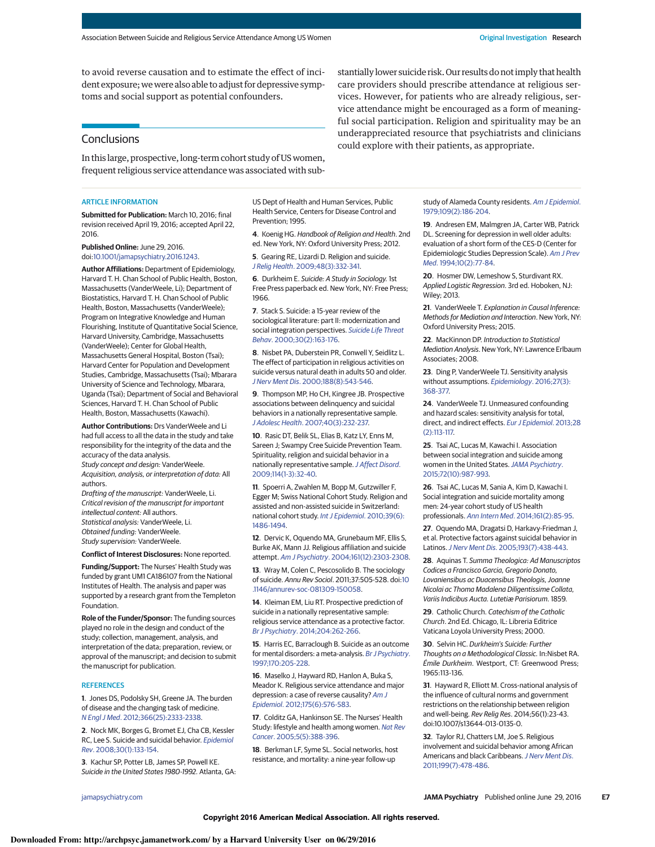to avoid reverse causation and to estimate the effect of incident exposure; we were also able to adjust for depressive symptoms and social support as potential confounders.

## **Conclusions**

In this large, prospective, long-term cohort study of US women, frequent religious service attendance was associated with sub-

#### **ARTICLE INFORMATION**

**Submitted for Publication:** March 10, 2016; final revision received April 19, 2016; accepted April 22, 2016.

**Published Online:** June 29, 2016. doi:10.1001/jamapsychiatry.2016.1243.

**Author Affiliations:** Department of Epidemiology, Harvard T. H. Chan School of Public Health, Boston, Massachusetts (VanderWeele, Li); Department of Biostatistics, Harvard T. H. Chan School of Public Health, Boston, Massachusetts (VanderWeele); Program on Integrative Knowledge and Human Flourishing, Institute of Quantitative Social Science, Harvard University, Cambridge, Massachusetts (VanderWeele); Center for Global Health, Massachusetts General Hospital, Boston (Tsai); Harvard Center for Population and Development Studies, Cambridge, Massachusetts (Tsai); Mbarara University of Science and Technology, Mbarara, Uganda (Tsai); Department of Social and Behavioral Sciences, Harvard T. H. Chan School of Public Health, Boston, Massachusetts (Kawachi).

**Author Contributions:** Drs VanderWeele and Li had full access to all the data in the study and take responsibility for the integrity of the data and the accuracy of the data analysis.

*Study concept and design:* VanderWeele. *Acquisition, analysis, or interpretation of data:* All authors.

*Drafting of the manuscript:* VanderWeele, Li. *Critical revision of the manuscript for important intellectual content:* All authors. *Statistical analysis:* VanderWeele, Li. *Obtained funding:* VanderWeele. *Study supervision:* VanderWeele.

**Conflict of Interest Disclosures:** None reported.

**Funding/Support:** The Nurses' Health Study was funded by grant UM1 CA186107 from the National

Institutes of Health. The analysis and paper was supported by a research grant from the Templeton Foundation.

**Role of the Funder/Sponsor:** The funding sources played no role in the design and conduct of the study; collection, management, analysis, and interpretation of the data; preparation, review, or approval of the manuscript; and decision to submit the manuscript for publication.

#### **REFERENCES**

**1**. Jones DS, Podolsky SH, Greene JA. The burden of disease and the changing task of medicine. *N Engl J Med*. 2012;366(25):2333-2338.

**2**. Nock MK, Borges G, Bromet EJ, Cha CB, Kessler RC, Lee S. Suicide and suicidal behavior. *Epidemiol Rev*. 2008;30(1):133-154.

**3**. Kachur SP, Potter LB, James SP, Powell KE. *Suicide in the United States 1980-1992.* Atlanta, GA: US Dept of Health and Human Services, Public Health Service, Centers for Disease Control and Prevention; 1995.

**4**. Koenig HG. *Handbook of Religion and Health*. 2nd ed. New York, NY: Oxford University Press; 2012.

**5**. Gearing RE, Lizardi D. Religion and suicide. *J Relig Health*. 2009;48(3):332-341.

**6**. Durkheim E. *Suicide: A Study in Sociology.* 1st Free Press paperback ed. New York, NY: Free Press; 1966.

**7**. Stack S. Suicide: a 15-year review of the sociological literature: part II: modernization and social integration perspectives. *Suicide Life Threat Behav*. 2000;30(2):163-176.

**8**. Nisbet PA, Duberstein PR, Conwell Y, Seidlitz L. The effect of participation in religious activities on suicide versus natural death in adults 50 and older. *J Nerv Ment Dis*. 2000;188(8):543-546.

**9**. Thompson MP, Ho CH, Kingree JB. Prospective associations between delinquency and suicidal behaviors in a nationally representative sample. *J Adolesc Health*. 2007;40(3):232-237.

**10**. Rasic DT, Belik SL, Elias B, Katz LY, Enns M, Sareen J; Swampy Cree Suicide Prevention Team. Spirituality, religion and suicidal behavior in a nationally representative sample.*J Affect Disord*. 2009;114(1-3):32-40.

**11**. Spoerri A, Zwahlen M, Bopp M, Gutzwiller F, Egger M; Swiss National Cohort Study. Religion and assisted and non-assisted suicide in Switzerland: national cohort study. *Int J Epidemiol*. 2010;39(6): 1486-1494.

**12**. Dervic K, Oquendo MA, Grunebaum MF, Ellis S, Burke AK, Mann JJ. Religious affiliation and suicide attempt. *Am J Psychiatry*. 2004;161(12):2303-2308.

**13**. Wray M, Colen C, Pescosolido B. The sociology of suicide. *Annu Rev Sociol*. 2011;37:505-528. doi:10 .1146/annurev-soc-081309-150058.

**14**. Kleiman EM, Liu RT. Prospective prediction of suicide in a nationally representative sample: religious service attendance as a protective factor. *Br J Psychiatry*. 2014;204:262-266.

**15**. Harris EC, Barraclough B. Suicide as an outcome for mental disorders: a meta-analysis. *Br J Psychiatry*. 1997;170:205-228.

**16**. Maselko J, Hayward RD, Hanlon A, Buka S, Meador K. Religious service attendance and major depression: a case of reverse causality? *Am J Epidemiol*. 2012;175(6):576-583.

**17**. Colditz GA, Hankinson SE. The Nurses' Health Study: lifestyle and health among women. *Nat Rev Cancer*. 2005;5(5):388-396.

**18**. Berkman LF, Syme SL. Social networks, host resistance, and mortality: a nine-year follow-up

study of Alameda County residents. *Am J Epidemiol*.

stantially lower suicide risk. Our results do not imply that health care providers should prescribe attendance at religious services. However, for patients who are already religious, service attendance might be encouraged as a form of meaningful social participation. Religion and spirituality may be an underappreciated resource that psychiatrists and clinicians

1979;109(2):186-204.

could explore with their patients, as appropriate.

**19**. Andresen EM, Malmgren JA, Carter WB, Patrick DL. Screening for depression in well older adults: evaluation of a short form of the CES-D (Center for Epidemiologic Studies Depression Scale). *Am J Prev Med*. 1994;10(2):77-84.

**20**. Hosmer DW, Lemeshow S, Sturdivant RX. *Applied Logistic Regression*. 3rd ed. Hoboken, NJ: Wiley; 2013.

**21**. VanderWeele T. *Explanation in Causal Inference: Methods for Mediation and Interaction*. New York, NY: Oxford University Press; 2015.

**22**. MacKinnon DP. *Introduction to Statistical Mediation Analysis*. New York, NY: Lawrence Erlbaum Associates; 2008.

**23**. Ding P, VanderWeele TJ. Sensitivity analysis without assumptions. *Epidemiology*. 2016;27(3): 368-377.

**24**. VanderWeele TJ. Unmeasured confounding and hazard scales: sensitivity analysis for total, direct, and indirect effects. *Eur J Epidemiol*. 2013;28 (2):113-117.

**25**. Tsai AC, Lucas M, Kawachi I. Association between social integration and suicide among women in the United States.*JAMA Psychiatry*. 2015;72(10):987-993.

**26**. Tsai AC, Lucas M, Sania A, Kim D, Kawachi I. Social integration and suicide mortality among men: 24-year cohort study of US health professionals. *Ann Intern Med*. 2014;161(2):85-95.

**27**. Oquendo MA, Dragatsi D, Harkavy-Friedman J, et al. Protective factors against suicidal behavior in Latinos.*J Nerv Ment Dis*. 2005;193(7):438-443.

**28**. Aquinas T. *Summa Theologica: Ad Manuscriptos Codices a Francisco Garcia, Gregorio Donato, Lovaniensibus ac Duacensibus Theologis, Joanne Nicolai ac Thoma Madalena Diligentissime Collata, Variis Indicibus Aucta. Lutetiæ Parisiorum*. 1859.

**29**. Catholic Church. *Catechism of the Catholic Church*. 2nd Ed. Chicago, IL: Libreria Editrice Vaticana Loyola University Press; 2000.

**30**. Selvin HC. *Durkheim's Suicide: Further Thoughts on a Methodological Classic.* In:Nisbet RA. *Émile Durkheim*. Westport, CT: Greenwood Press; 1965:113-136.

**31**. Hayward R, Elliott M. Cross-national analysis of the influence of cultural norms and government restrictions on the relationship between religion and well-being. *Rev Relig Res*. 2014;56(1):23-43. doi:10.1007/s13644-013-0135-0.

**32**. Taylor RJ, Chatters LM, Joe S. Religious involvement and suicidal behavior among African Americans and black Caribbeans.*J Nerv Ment Dis*. 2011;199(7):478-486.